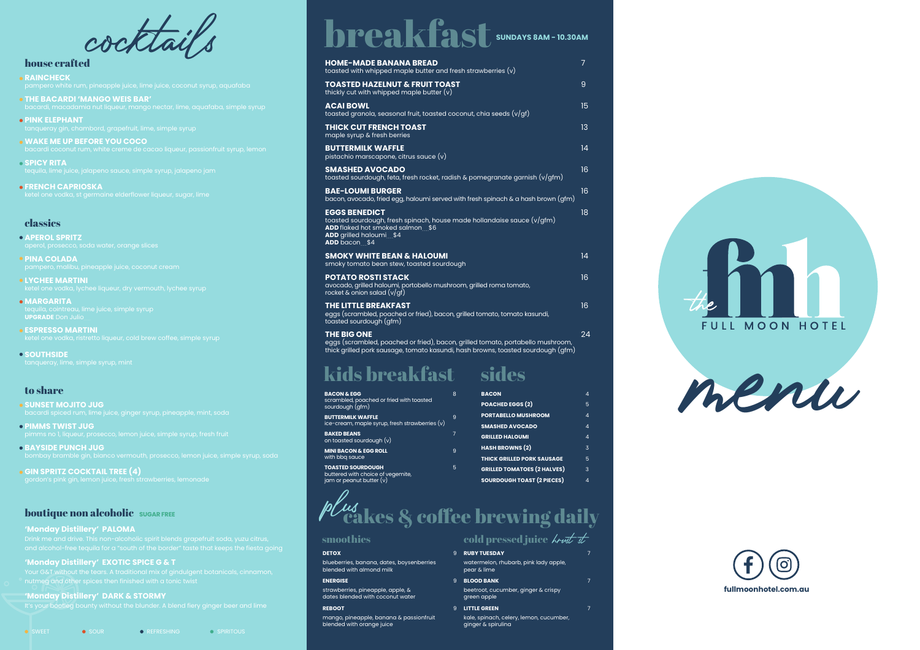

| <b>HOME-MADE BANANA BREAD</b><br>toasted with whipped maple butter and fresh strawberries $(v)$                                                                                           | $\overline{7}$ |
|-------------------------------------------------------------------------------------------------------------------------------------------------------------------------------------------|----------------|
| <b>TOASTED HAZELNUT &amp; FRUIT TOAST</b><br>thickly cut with whipped maple butter $(v)$                                                                                                  | 9              |
| <b>ACAI BOWL</b><br>toasted granola, seasonal fruit, toasted coconut, chia seeds $(v/gf)$                                                                                                 | 15             |
| <b>THICK CUT FRENCH TOAST</b><br>maple syrup & fresh berries                                                                                                                              | 13             |
| <b>BUTTERMILK WAFFLE</b><br>pistachio marscapone, citrus sauce (v)                                                                                                                        | 14             |
| <b>SMASHED AVOCADO</b><br>toasted sourdough, feta, fresh rocket, radish & pomegranate garnish (v/gfm)                                                                                     | 16             |
| <b>BAE-LOUMI BURGER</b><br>bacon, avocado, fried egg, haloumi served with fresh spinach & a hash brown (gfm)                                                                              | 16             |
| <b>EGGS BENEDICT</b><br>toasted sourdough, fresh spinach, house made hollandaise sauce (v/gfm)<br><b>ADD</b> flaked hot smoked salmon \$6<br>ADD grilled haloumi \$4<br>ADD bacon \$4     | 18             |
| <b>SMOKY WHITE BEAN &amp; HALOUMI</b><br>smoky tomato bean stew, toasted sourdough                                                                                                        | 14             |
| <b>POTATO ROSTI STACK</b><br>avocado, grilled haloumi, portobello mushroom, grilled roma tomato,<br>rocket & onion salad $(v/gf)$                                                         | 16             |
| <b>THE LITTLE BREAKFAST</b><br>eggs (scrambled, poached or fried), bacon, grilled tomato, tomato kasundi,<br>toasted sourdough (gfm)                                                      | 16             |
| <b>THE BIG ONE</b><br>eggs (scrambled, poached or fried), bacon, grilled tomato, portabello mushroom,<br>thick grilled pork sausage, tomato kasundi, hash browns, toasted sourdough (gfm) | 24             |

#### house crafted

- **RAINCHECK**
- 
- **THE BACARDI 'MANGO WEIS BAR'**
- **PINK ELEPHANT**
- **WAKE ME UP BEFORE YOU COCO**
- **SPICY RITA**
- **FRENCH CAPRIOSKA**

### classics

**APEROL SPRITZ**

- **PINA COLADA**
- **LYCHEE MARTINI**
- **MARGARITA UPGRADE** Don Julio
- **ESPRESSO MARTINI**

**SOUTHSIDE**

#### to share

- **SUNSET MOJITO JUG**
- **PIMMS TWIST JUG**
- **BAYSIDE PUNCH JUG**
- **GIN SPRITZ COCKTAIL TREE (4)**

#### **boutique non alcoholic** SUGAR FREE

#### **'Monday Distillery' PALOMA**

and alcohol-free tequila for a "south of the border" taste that keeps the fiesta going

#### **'Monday Distillery' EXOTIC SPICE G & T**

nutmeg and other spices then finished with a tonic twist

**'Monday Distillery' DARK & STORMY**

| <b>BACON &amp; EGG</b>                                        | 8 | <b>BACON</b>                       | 4 |
|---------------------------------------------------------------|---|------------------------------------|---|
| scrambled, poached or fried with toasted<br>sourdough (gfm)   |   | POACHED EGGS (2)                   | 5 |
| <b>BUTTERMILK WAFFLE</b>                                      | 9 | <b>PORTABELLO MUSHROOM</b>         | 4 |
| ice-cream, maple syrup, fresh strawberries $(v)$              |   | <b>SMASHED AVOCADO</b>             | 4 |
| <b>BAKED BEANS</b><br>on toasted sourdough (v)                | 7 | <b>GRILLED HALOUMI</b>             | 4 |
| <b>MINI BACON &amp; EGG ROLL</b>                              | 9 | <b>HASH BROWNS (2)</b>             | 3 |
| with bbq sauce                                                |   | <b>THICK GRILLED PORK SAUSAGE</b>  | 5 |
| <b>TOASTED SOURDOUGH</b><br>buttered with choice of vegemite, | 5 | <b>GRILLED TOMATOES (2 HALVES)</b> | 3 |
| jam or peanut butter $(v)$                                    |   | <b>SOURDOUGH TOAST (2 PIECES)</b>  | 4 |

# b $\ell$ us $_{\rm{eaks}}$  & coffee brewing daily

- **DETOX** 9 blueberries, banana, dates, boysenberries
- blended with almond milk **ENERGISE**
- strawberries, pineapple, apple, & dates blended with coconut water

#### **REBOOT**

mango, pineapple, banana & passionfruit blended with orange juice

## smoothies cold pressed juice *kro*f st

#### **9 RUBY TUESDAY**

# kids breakfast sides

## breakfast **SUNDAYS 8AM - 10.30AM**

cocktails

watermelon, rhubarb, pink lady apple, pear & lime

#### **BLOOD BANK BLOOD BANK 7**

- beetroot, cucumber, ginger & crispy green apple
- **LITTLE GREEN 1** kale, spinach, celery, lemon, cucumber, ginger & spirulina

- 
- -